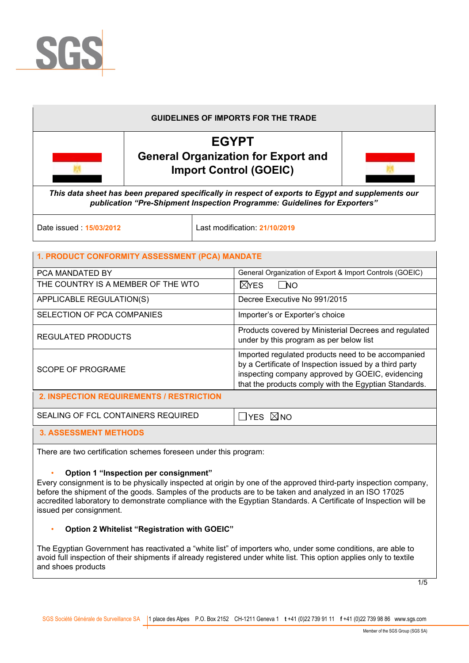

# **GUIDELINES OF IMPORTS FOR THE TRADE EGYPT General Organization for Export and Import Control (GOEIC)**  *This data sheet has been prepared specifically in respect of exports to Egypt and supplements our publication "Pre-Shipment Inspection Programme: Guidelines for Exporters"*

Date issued : **15/03/2012** Last modification: **21/10/2019** 

# **1. PRODUCT CONFORMITY ASSESSMENT (PCA) MANDATE**

| PCA MANDATED BY                          | General Organization of Export & Import Controls (GOEIC)                                                                                                                                                                  |
|------------------------------------------|---------------------------------------------------------------------------------------------------------------------------------------------------------------------------------------------------------------------------|
| THE COUNTRY IS A MEMBER OF THE WTO       | $N$ res<br>l No                                                                                                                                                                                                           |
| APPLICABLE REGULATION(S)                 | Decree Executive No 991/2015                                                                                                                                                                                              |
| SELECTION OF PCA COMPANIES               | Importer's or Exporter's choice                                                                                                                                                                                           |
| <b>REGULATED PRODUCTS</b>                | Products covered by Ministerial Decrees and regulated<br>under by this program as per below list                                                                                                                          |
| <b>SCOPE OF PROGRAME</b>                 | Imported regulated products need to be accompanied<br>by a Certificate of Inspection issued by a third party<br>inspecting company approved by GOEIC, evidencing<br>that the products comply with the Egyptian Standards. |
| 2. INSPECTION REQUIREMENTS / RESTRICTION |                                                                                                                                                                                                                           |
| SEALING OF FCL CONTAINERS REQUIRED       | $\Box$ YES $\boxtimes$ NO                                                                                                                                                                                                 |
| <b>3. ASSESSMENT METHODS</b>             |                                                                                                                                                                                                                           |

There are two certification schemes foreseen under this program:

#### • **Option 1 "Inspection per consignment"**

Every consignment is to be physically inspected at origin by one of the approved third-party inspection company, before the shipment of the goods. Samples of the products are to be taken and analyzed in an ISO 17025 accredited laboratory to demonstrate compliance with the Egyptian Standards. A Certificate of Inspection will be issued per consignment.

#### • **Option 2 Whitelist "Registration with GOEIC"**

The Egyptian Government has reactivated a "white list" of importers who, under some conditions, are able to avoid full inspection of their shipments if already registered under white list. This option applies only to textile and shoes products

1/5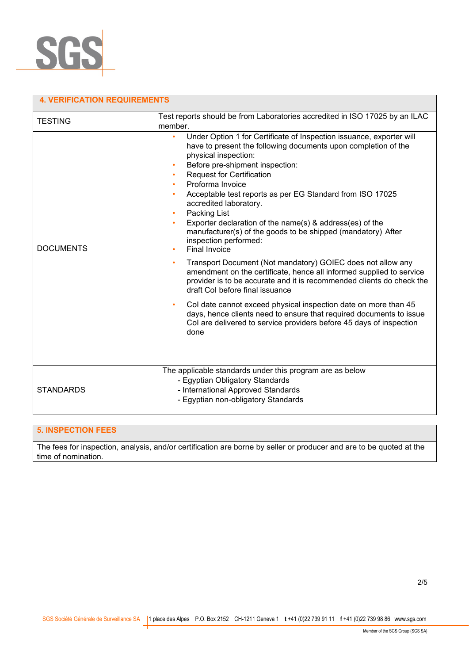

| <b>4. VERIFICATION REQUIREMENTS</b> |                                                                                                                                                                                                                                                                                                                                                                                                                                                                                                                                                                                                                                                                                                                                                                                                                                                                                                                                                                                                                                 |  |  |  |
|-------------------------------------|---------------------------------------------------------------------------------------------------------------------------------------------------------------------------------------------------------------------------------------------------------------------------------------------------------------------------------------------------------------------------------------------------------------------------------------------------------------------------------------------------------------------------------------------------------------------------------------------------------------------------------------------------------------------------------------------------------------------------------------------------------------------------------------------------------------------------------------------------------------------------------------------------------------------------------------------------------------------------------------------------------------------------------|--|--|--|
| <b>TESTING</b>                      | Test reports should be from Laboratories accredited in ISO 17025 by an ILAC<br>member.                                                                                                                                                                                                                                                                                                                                                                                                                                                                                                                                                                                                                                                                                                                                                                                                                                                                                                                                          |  |  |  |
| <b>DOCUMENTS</b>                    | Under Option 1 for Certificate of Inspection issuance, exporter will<br>$\bullet$<br>have to present the following documents upon completion of the<br>physical inspection:<br>Before pre-shipment inspection:<br><b>Request for Certification</b><br>Proforma Invoice<br>Acceptable test reports as per EG Standard from ISO 17025<br>accredited laboratory.<br>Packing List<br>Exporter declaration of the name(s) & address(es) of the<br>manufacturer(s) of the goods to be shipped (mandatory) After<br>inspection performed:<br>Final Invoice<br>Transport Document (Not mandatory) GOIEC does not allow any<br>amendment on the certificate, hence all informed supplied to service<br>provider is to be accurate and it is recommended clients do check the<br>draft Col before final issuance<br>Col date cannot exceed physical inspection date on more than 45<br>days, hence clients need to ensure that required documents to issue<br>Col are delivered to service providers before 45 days of inspection<br>done |  |  |  |
| <b>STANDARDS</b>                    | The applicable standards under this program are as below<br>- Egyptian Obligatory Standards<br>- International Approved Standards<br>- Egyptian non-obligatory Standards                                                                                                                                                                                                                                                                                                                                                                                                                                                                                                                                                                                                                                                                                                                                                                                                                                                        |  |  |  |

# **5. INSPECTION FEES**

The fees for inspection, analysis, and/or certification are borne by seller or producer and are to be quoted at the time of nomination.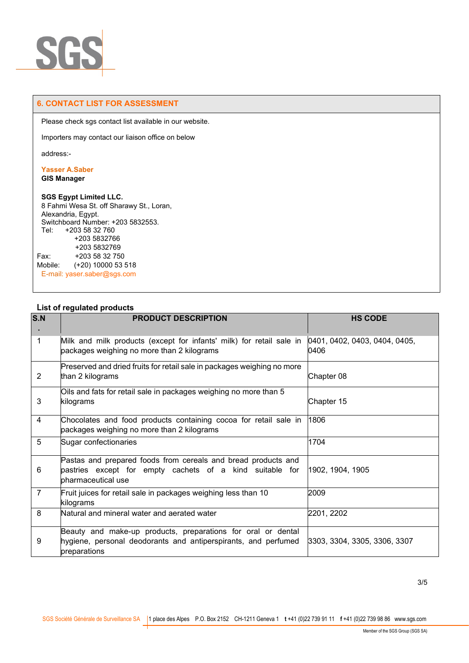

#### **6. CONTACT LIST FOR ASSESSMENT**

Please check sgs contact list available in our website.

Importers may contact our liaison office on below

address:-

# **Yasser A.Saber**

**GIS Manager** 

#### **SGS Egypt Limited LLC.**

8 Fahmi Wesa St. off Sharawy St., Loran, Alexandria, Egypt. Switchboard Number: +203 5832553. Tel: +203 58 32 760 +203 5832766 +203 5832769 Fax: +203 58 32 750 Mobile: (+20) 10000 53 518 E-mail: yaser.saber@sgs.com

| S.N            | <b>PRODUCT DESCRIPTION</b>                                                                                                                      | <b>HS CODE</b>                        |
|----------------|-------------------------------------------------------------------------------------------------------------------------------------------------|---------------------------------------|
|                |                                                                                                                                                 |                                       |
| $\mathbf{1}$   | Milk and milk products (except for infants' milk) for retail sale in<br>packages weighing no more than 2 kilograms                              | 0401, 0402, 0403, 0404, 0405,<br>0406 |
| $\overline{2}$ | Preserved and dried fruits for retail sale in packages weighing no more<br>than 2 kilograms                                                     | Chapter 08                            |
| 3              | Oils and fats for retail sale in packages weighing no more than 5<br>kilograms                                                                  | Chapter 15                            |
| 4              | Chocolates and food products containing cocoa for retail sale in<br>packages weighing no more than 2 kilograms                                  | 1806                                  |
| 5              | Sugar confectionaries                                                                                                                           | 1704                                  |
| 6              | Pastas and prepared foods from cereals and bread products and<br>pastries except for empty cachets of a kind suitable for<br>bharmaceutical use | 1902, 1904, 1905                      |
| $\overline{7}$ | Fruit juices for retail sale in packages weighing less than 10<br>kilograms                                                                     | 2009                                  |
| 8              | Natural and mineral water and aerated water                                                                                                     | 2201, 2202                            |
| 9              | Beauty and make-up products, preparations for oral or dental<br>hygiene, personal deodorants and antiperspirants, and perfumed<br>preparations  | 3303, 3304, 3305, 3306, 3307          |

# **List of regulated products**

3/5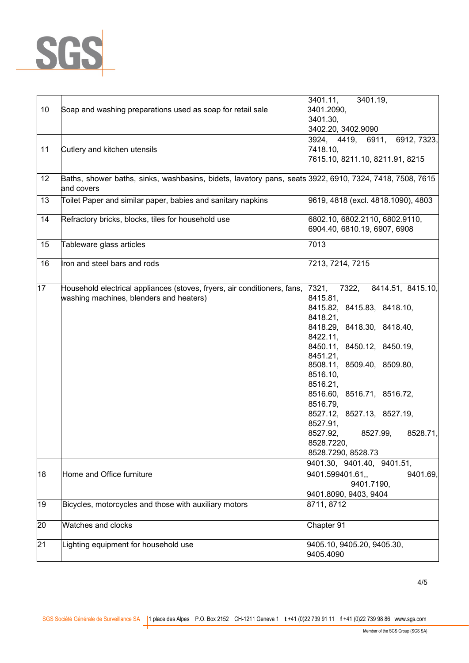

| 10 | Soap and washing preparations used as soap for retail sale                                                            | 3401.11,<br>3401.19,<br>3401.2090,                             |
|----|-----------------------------------------------------------------------------------------------------------------------|----------------------------------------------------------------|
|    |                                                                                                                       | 3401.30,                                                       |
|    |                                                                                                                       | 3402.20, 3402.9090                                             |
|    |                                                                                                                       | 3924, 4419, 6911,<br>6912, 7323,                               |
| 11 | Cutlery and kitchen utensils                                                                                          | 7418.10,                                                       |
|    |                                                                                                                       | 7615.10, 8211.10, 8211.91, 8215                                |
| 12 | Baths, shower baths, sinks, washbasins, bidets, lavatory pans, seats 3922, 6910, 7324, 7418, 7508, 7615<br>and covers |                                                                |
| 13 | Toilet Paper and similar paper, babies and sanitary napkins                                                           | 9619, 4818 (excl. 4818.1090), 4803                             |
| 14 | Refractory bricks, blocks, tiles for household use                                                                    | 6802.10, 6802.2110, 6802.9110,<br>6904.40, 6810.19, 6907, 6908 |
| 15 | Tableware glass articles                                                                                              | 7013                                                           |
| 16 | Iron and steel bars and rods                                                                                          | 7213, 7214, 7215                                               |
| 17 | Household electrical appliances (stoves, fryers, air conditioners, fans,                                              | 8414.51, 8415.10,<br>7321,<br>7322,                            |
|    | washing machines, blenders and heaters)                                                                               | 8415.81,                                                       |
|    |                                                                                                                       | 8415.82, 8415.83, 8418.10,                                     |
|    |                                                                                                                       | 8418.21,                                                       |
|    |                                                                                                                       | 8418.29, 8418.30, 8418.40,                                     |
|    |                                                                                                                       | 8422.11,                                                       |
|    |                                                                                                                       | 8450.11, 8450.12, 8450.19,                                     |
|    |                                                                                                                       | 8451.21,                                                       |
|    |                                                                                                                       | 8508.11, 8509.40, 8509.80,                                     |
|    |                                                                                                                       | 8516.10,                                                       |
|    |                                                                                                                       | 8516.21,                                                       |
|    |                                                                                                                       | 8516.60, 8516.71, 8516.72,                                     |
|    |                                                                                                                       | 8516.79,                                                       |
|    |                                                                                                                       | 8527.12, 8527.13, 8527.19,                                     |
|    |                                                                                                                       | 8527.91,                                                       |
|    |                                                                                                                       | 8527.92,<br>8527.99,<br>8528.71,                               |
|    |                                                                                                                       | 8528.7220,                                                     |
|    |                                                                                                                       | 8528.7290, 8528.73                                             |
|    |                                                                                                                       | 9401.30, 9401.40, 9401.51,                                     |
| 18 | Home and Office furniture                                                                                             | 9401.599401.61,<br>9401.69,                                    |
|    |                                                                                                                       | 9401.7190.                                                     |
|    |                                                                                                                       | 9401.8090, 9403, 9404                                          |
|    |                                                                                                                       |                                                                |
| 19 | Bicycles, motorcycles and those with auxiliary motors                                                                 | 8711, 8712                                                     |
| 20 | Watches and clocks                                                                                                    | Chapter 91                                                     |
| 21 | Lighting equipment for household use                                                                                  | 9405.10, 9405.20, 9405.30,                                     |
|    |                                                                                                                       | 9405.4090                                                      |